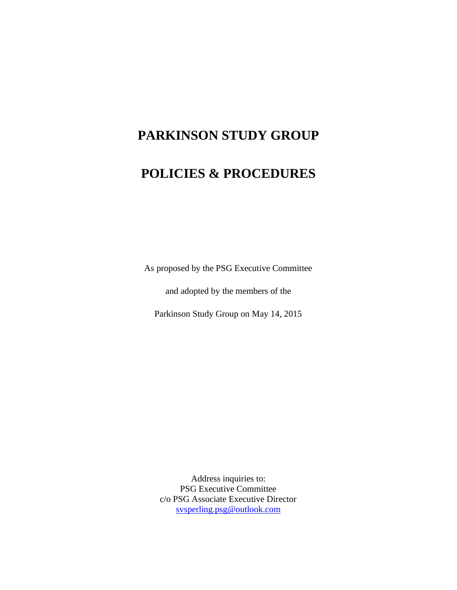# **PARKINSON STUDY GROUP**

## **POLICIES & PROCEDURES**

As proposed by the PSG Executive Committee

and adopted by the members of the

Parkinson Study Group on May 14, 2015

Address inquiries to: PSG Executive Committee c/o PSG Associate Executive Director [svsperling.psg@outlook.com](mailto:svsperling.psg@outlook.com)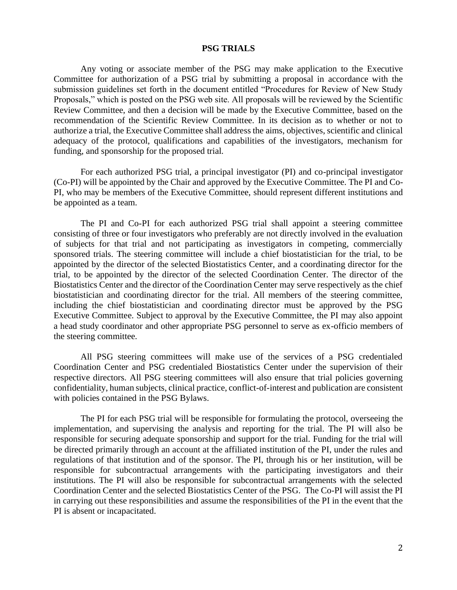#### **PSG TRIALS**

Any voting or associate member of the PSG may make application to the Executive Committee for authorization of a PSG trial by submitting a proposal in accordance with the submission guidelines set forth in the document entitled "Procedures for Review of New Study Proposals," which is posted on the PSG web site. All proposals will be reviewed by the Scientific Review Committee, and then a decision will be made by the Executive Committee, based on the recommendation of the Scientific Review Committee. In its decision as to whether or not to authorize a trial, the Executive Committee shall address the aims, objectives, scientific and clinical adequacy of the protocol, qualifications and capabilities of the investigators, mechanism for funding, and sponsorship for the proposed trial.

For each authorized PSG trial, a principal investigator (PI) and co-principal investigator (Co-PI) will be appointed by the Chair and approved by the Executive Committee. The PI and Co-PI, who may be members of the Executive Committee, should represent different institutions and be appointed as a team.

The PI and Co-PI for each authorized PSG trial shall appoint a steering committee consisting of three or four investigators who preferably are not directly involved in the evaluation of subjects for that trial and not participating as investigators in competing, commercially sponsored trials. The steering committee will include a chief biostatistician for the trial, to be appointed by the director of the selected Biostatistics Center, and a coordinating director for the trial, to be appointed by the director of the selected Coordination Center. The director of the Biostatistics Center and the director of the Coordination Center may serve respectively as the chief biostatistician and coordinating director for the trial. All members of the steering committee, including the chief biostatistician and coordinating director must be approved by the PSG Executive Committee. Subject to approval by the Executive Committee, the PI may also appoint a head study coordinator and other appropriate PSG personnel to serve as ex-officio members of the steering committee.

All PSG steering committees will make use of the services of a PSG credentialed Coordination Center and PSG credentialed Biostatistics Center under the supervision of their respective directors. All PSG steering committees will also ensure that trial policies governing confidentiality, human subjects, clinical practice, conflict-of-interest and publication are consistent with policies contained in the PSG Bylaws.

The PI for each PSG trial will be responsible for formulating the protocol, overseeing the implementation, and supervising the analysis and reporting for the trial. The PI will also be responsible for securing adequate sponsorship and support for the trial. Funding for the trial will be directed primarily through an account at the affiliated institution of the PI, under the rules and regulations of that institution and of the sponsor. The PI, through his or her institution, will be responsible for subcontractual arrangements with the participating investigators and their institutions. The PI will also be responsible for subcontractual arrangements with the selected Coordination Center and the selected Biostatistics Center of the PSG. The Co-PI will assist the PI in carrying out these responsibilities and assume the responsibilities of the PI in the event that the PI is absent or incapacitated.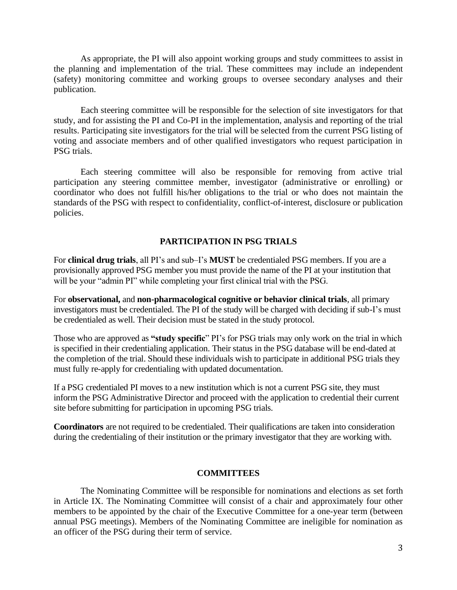As appropriate, the PI will also appoint working groups and study committees to assist in the planning and implementation of the trial. These committees may include an independent (safety) monitoring committee and working groups to oversee secondary analyses and their publication.

Each steering committee will be responsible for the selection of site investigators for that study, and for assisting the PI and Co-PI in the implementation, analysis and reporting of the trial results. Participating site investigators for the trial will be selected from the current PSG listing of voting and associate members and of other qualified investigators who request participation in PSG trials.

Each steering committee will also be responsible for removing from active trial participation any steering committee member, investigator (administrative or enrolling) or coordinator who does not fulfill his/her obligations to the trial or who does not maintain the standards of the PSG with respect to confidentiality, conflict-of-interest, disclosure or publication policies.

#### **PARTICIPATION IN PSG TRIALS**

For **clinical drug trials**, all PI's and sub–I's **MUST** be credentialed PSG members. If you are a provisionally approved PSG member you must provide the name of the PI at your institution that will be your "admin PI" while completing your first clinical trial with the PSG.

For **observational,** and **non-pharmacological cognitive or behavior clinical trials**, all primary investigators must be credentialed. The PI of the study will be charged with deciding if sub-I's must be credentialed as well. Their decision must be stated in the study protocol.

Those who are approved as **"study specific**" PI's for PSG trials may only work on the trial in which is specified in their credentialing application. Their status in the PSG database will be end-dated at the completion of the trial. Should these individuals wish to participate in additional PSG trials they must fully re-apply for credentialing with updated documentation.

If a PSG credentialed PI moves to a new institution which is not a current PSG site, they must inform the PSG Administrative Director and proceed with the application to credential their current site before submitting for participation in upcoming PSG trials.

**Coordinators** are not required to be credentialed. Their qualifications are taken into consideration during the credentialing of their institution or the primary investigator that they are working with.

#### **COMMITTEES**

The Nominating Committee will be responsible for nominations and elections as set forth in Article IX. The Nominating Committee will consist of a chair and approximately four other members to be appointed by the chair of the Executive Committee for a one-year term (between annual PSG meetings). Members of the Nominating Committee are ineligible for nomination as an officer of the PSG during their term of service.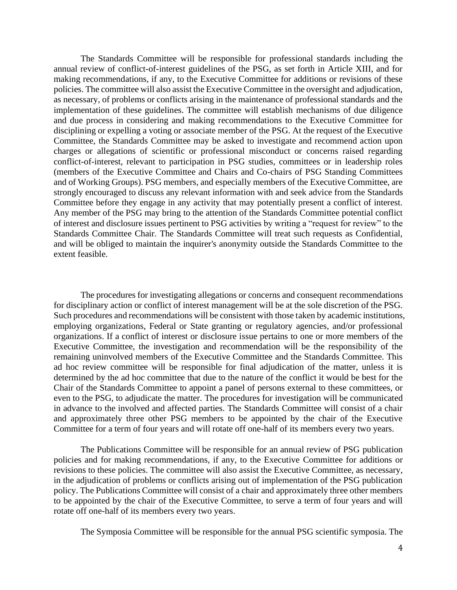The Standards Committee will be responsible for professional standards including the annual review of conflict-of-interest guidelines of the PSG, as set forth in Article XIII, and for making recommendations, if any, to the Executive Committee for additions or revisions of these policies. The committee will also assist the Executive Committee in the oversight and adjudication, as necessary, of problems or conflicts arising in the maintenance of professional standards and the implementation of these guidelines. The committee will establish mechanisms of due diligence and due process in considering and making recommendations to the Executive Committee for disciplining or expelling a voting or associate member of the PSG. At the request of the Executive Committee, the Standards Committee may be asked to investigate and recommend action upon charges or allegations of scientific or professional misconduct or concerns raised regarding conflict-of-interest, relevant to participation in PSG studies, committees or in leadership roles (members of the Executive Committee and Chairs and Co-chairs of PSG Standing Committees and of Working Groups). PSG members, and especially members of the Executive Committee, are strongly encouraged to discuss any relevant information with and seek advice from the Standards Committee before they engage in any activity that may potentially present a conflict of interest. Any member of the PSG may bring to the attention of the Standards Committee potential conflict of interest and disclosure issues pertinent to PSG activities by writing a "request for review" to the Standards Committee Chair. The Standards Committee will treat such requests as Confidential, and will be obliged to maintain the inquirer's anonymity outside the Standards Committee to the extent feasible.

The procedures for investigating allegations or concerns and consequent recommendations for disciplinary action or conflict of interest management will be at the sole discretion of the PSG. Such procedures and recommendations will be consistent with those taken by academic institutions, employing organizations, Federal or State granting or regulatory agencies, and/or professional organizations. If a conflict of interest or disclosure issue pertains to one or more members of the Executive Committee, the investigation and recommendation will be the responsibility of the remaining uninvolved members of the Executive Committee and the Standards Committee. This ad hoc review committee will be responsible for final adjudication of the matter, unless it is determined by the ad hoc committee that due to the nature of the conflict it would be best for the Chair of the Standards Committee to appoint a panel of persons external to these committees, or even to the PSG, to adjudicate the matter. The procedures for investigation will be communicated in advance to the involved and affected parties. The Standards Committee will consist of a chair and approximately three other PSG members to be appointed by the chair of the Executive Committee for a term of four years and will rotate off one-half of its members every two years.

The Publications Committee will be responsible for an annual review of PSG publication policies and for making recommendations, if any, to the Executive Committee for additions or revisions to these policies. The committee will also assist the Executive Committee, as necessary, in the adjudication of problems or conflicts arising out of implementation of the PSG publication policy. The Publications Committee will consist of a chair and approximately three other members to be appointed by the chair of the Executive Committee, to serve a term of four years and will rotate off one-half of its members every two years.

The Symposia Committee will be responsible for the annual PSG scientific symposia. The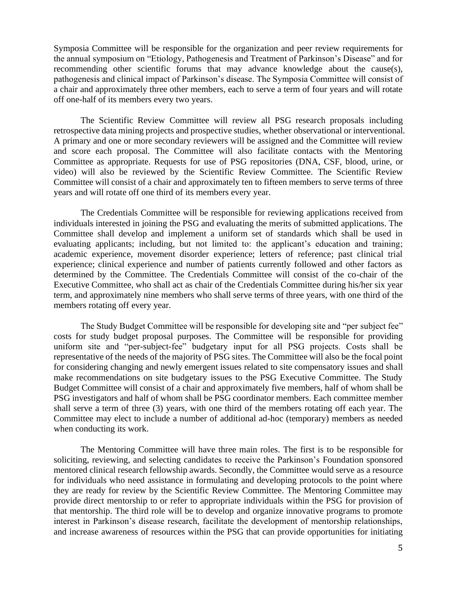Symposia Committee will be responsible for the organization and peer review requirements for the annual symposium on "Etiology, Pathogenesis and Treatment of Parkinson's Disease" and for recommending other scientific forums that may advance knowledge about the cause(s), pathogenesis and clinical impact of Parkinson's disease. The Symposia Committee will consist of a chair and approximately three other members, each to serve a term of four years and will rotate off one-half of its members every two years.

The Scientific Review Committee will review all PSG research proposals including retrospective data mining projects and prospective studies, whether observational or interventional. A primary and one or more secondary reviewers will be assigned and the Committee will review and score each proposal. The Committee will also facilitate contacts with the Mentoring Committee as appropriate. Requests for use of PSG repositories (DNA, CSF, blood, urine, or video) will also be reviewed by the Scientific Review Committee. The Scientific Review Committee will consist of a chair and approximately ten to fifteen members to serve terms of three years and will rotate off one third of its members every year.

The Credentials Committee will be responsible for reviewing applications received from individuals interested in joining the PSG and evaluating the merits of submitted applications. The Committee shall develop and implement a uniform set of standards which shall be used in evaluating applicants; including, but not limited to: the applicant's education and training; academic experience, movement disorder experience; letters of reference; past clinical trial experience; clinical experience and number of patients currently followed and other factors as determined by the Committee. The Credentials Committee will consist of the co-chair of the Executive Committee, who shall act as chair of the Credentials Committee during his/her six year term, and approximately nine members who shall serve terms of three years, with one third of the members rotating off every year.

The Study Budget Committee will be responsible for developing site and "per subject fee" costs for study budget proposal purposes. The Committee will be responsible for providing uniform site and "per-subject-fee" budgetary input for all PSG projects. Costs shall be representative of the needs of the majority of PSG sites. The Committee will also be the focal point for considering changing and newly emergent issues related to site compensatory issues and shall make recommendations on site budgetary issues to the PSG Executive Committee. The Study Budget Committee will consist of a chair and approximately five members, half of whom shall be PSG investigators and half of whom shall be PSG coordinator members. Each committee member shall serve a term of three (3) years, with one third of the members rotating off each year. The Committee may elect to include a number of additional ad-hoc (temporary) members as needed when conducting its work.

The Mentoring Committee will have three main roles. The first is to be responsible for soliciting, reviewing, and selecting candidates to receive the Parkinson's Foundation sponsored mentored clinical research fellowship awards. Secondly, the Committee would serve as a resource for individuals who need assistance in formulating and developing protocols to the point where they are ready for review by the Scientific Review Committee. The Mentoring Committee may provide direct mentorship to or refer to appropriate individuals within the PSG for provision of that mentorship. The third role will be to develop and organize innovative programs to promote interest in Parkinson's disease research, facilitate the development of mentorship relationships, and increase awareness of resources within the PSG that can provide opportunities for initiating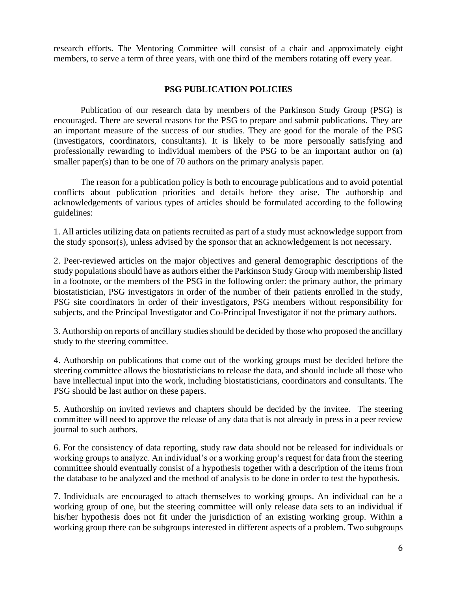research efforts. The Mentoring Committee will consist of a chair and approximately eight members, to serve a term of three years, with one third of the members rotating off every year.

### **PSG PUBLICATION POLICIES**

Publication of our research data by members of the Parkinson Study Group (PSG) is encouraged. There are several reasons for the PSG to prepare and submit publications. They are an important measure of the success of our studies. They are good for the morale of the PSG (investigators, coordinators, consultants). It is likely to be more personally satisfying and professionally rewarding to individual members of the PSG to be an important author on (a) smaller paper(s) than to be one of 70 authors on the primary analysis paper.

The reason for a publication policy is both to encourage publications and to avoid potential conflicts about publication priorities and details before they arise. The authorship and acknowledgements of various types of articles should be formulated according to the following guidelines:

1. All articles utilizing data on patients recruited as part of a study must acknowledge support from the study sponsor(s), unless advised by the sponsor that an acknowledgement is not necessary.

2. Peer-reviewed articles on the major objectives and general demographic descriptions of the study populations should have as authors either the Parkinson Study Group with membership listed in a footnote, or the members of the PSG in the following order: the primary author, the primary biostatistician, PSG investigators in order of the number of their patients enrolled in the study, PSG site coordinators in order of their investigators, PSG members without responsibility for subjects, and the Principal Investigator and Co-Principal Investigator if not the primary authors.

3. Authorship on reports of ancillary studies should be decided by those who proposed the ancillary study to the steering committee.

4. Authorship on publications that come out of the working groups must be decided before the steering committee allows the biostatisticians to release the data, and should include all those who have intellectual input into the work, including biostatisticians, coordinators and consultants. The PSG should be last author on these papers.

5. Authorship on invited reviews and chapters should be decided by the invitee. The steering committee will need to approve the release of any data that is not already in press in a peer review journal to such authors.

6. For the consistency of data reporting, study raw data should not be released for individuals or working groups to analyze. An individual's or a working group's request for data from the steering committee should eventually consist of a hypothesis together with a description of the items from the database to be analyzed and the method of analysis to be done in order to test the hypothesis.

7. Individuals are encouraged to attach themselves to working groups. An individual can be a working group of one, but the steering committee will only release data sets to an individual if his/her hypothesis does not fit under the jurisdiction of an existing working group. Within a working group there can be subgroups interested in different aspects of a problem. Two subgroups